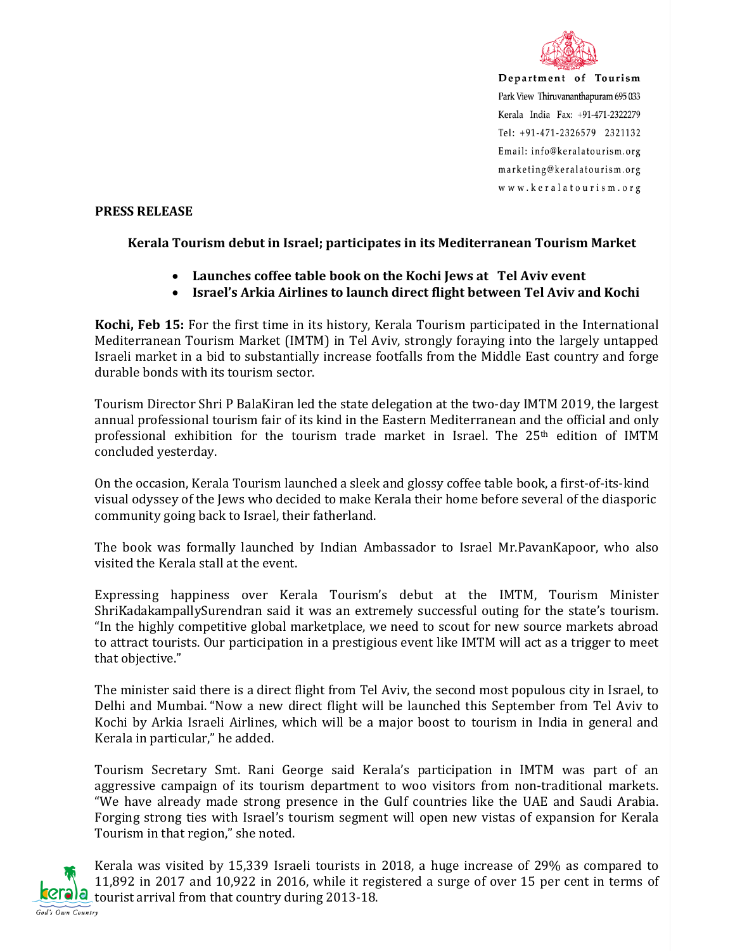

Department of Tourism Park View Thiruvananthapuram 695 033 Kerala India Fax: +91-471-2322279 Tel: +91-471-2326579 2321132 Email: info@keralatourism.org marketing@keralatourism.org www.keralatourism.org

## **PRESS RELEASE**

## **Kerala Tourism debut in Israel; participates in its Mediterranean Tourism Market**

- **Launches coffee table book on the Kochi Jews at Tel Aviv event**
- **Israel's Arkia Airlines to launch direct flight between Tel Aviv and Kochi**

**Kochi, Feb 15:** For the first time in its history, Kerala Tourism participated in the International Mediterranean Tourism Market (IMTM) in Tel Aviv, strongly foraying into the largely untapped Israeli market in a bid to substantially increase footfalls from the Middle East country and forge durable bonds with its tourism sector.

Tourism Director Shri P BalaKiran led the state delegation at the two-day IMTM 2019, the largest annual professional tourism fair of its kind in the Eastern Mediterranean and the official and only professional exhibition for the tourism trade market in Israel. The 25<sup>th</sup> edition of IMTM concluded yesterday.

On the occasion, Kerala Tourism launched a sleek and glossy coffee table book, a first-of-its-kind visual odyssey of the Jews who decided to make Kerala their home before several of the diasporic community going back to Israel, their fatherland.

The book was formally launched by Indian Ambassador to Israel Mr.PavanKapoor, who also visited the Kerala stall at the event.

Expressing happiness over Kerala Tourism's debut at the IMTM, Tourism Minister ShriKadakampallySurendran said it was an extremely successful outing for the state's tourism. "In the highly competitive global marketplace, we need to scout for new source markets abroad to attract tourists. Our participation in a prestigious event like IMTM will act as a trigger to meet that objective."

The minister said there is a direct flight from Tel Aviv, the second most populous city in Israel, to Delhi and Mumbai. "Now a new direct flight will be launched this September from Tel Aviv to Kochi by Arkia Israeli Airlines, which will be a major boost to tourism in India in general and Kerala in particular," he added.

Tourism Secretary Smt. Rani George said Kerala's participation in IMTM was part of an aggressive campaign of its tourism department to woo visitors from non-traditional markets. "We have already made strong presence in the Gulf countries like the UAE and Saudi Arabia. Forging strong ties with Israel's tourism segment will open new vistas of expansion for Kerala Tourism in that region," she noted.



Kerala was visited by 15,339 Israeli tourists in 2018, a huge increase of 29% as compared to 11,892 in 2017 and 10,922 in 2016, while it registered a surge of over 15 per cent in terms of  $C<sub>rel</sub>$  tourist arrival from that country during 2013-18.